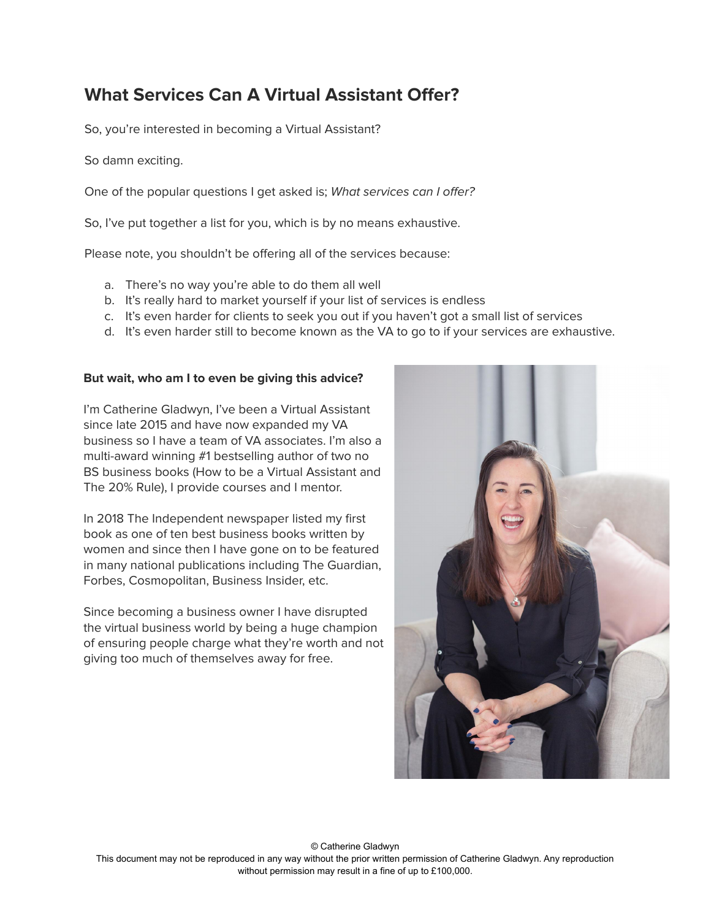# **What Services Can A Virtual Assistant Offer?**

So, you're interested in becoming a Virtual Assistant?

So damn exciting.

One of the popular questions I get asked is; What services can I offer?

So, I've put together a list for you, which is by no means exhaustive.

Please note, you shouldn't be offering all of the services because:

- a. There's no way you're able to do them all well
- b. It's really hard to market yourself if your list of services is endless
- c. It's even harder for clients to seek you out if you haven't got a small list of services
- d. It's even harder still to become known as the VA to go to if your services are exhaustive.

#### **But wait, who am I to even be giving this advice?**

I'm Catherine Gladwyn, I've been a Virtual Assistant since late 2015 and have now expanded my VA business so I have a team of VA associates. I'm also a multi-award winning #1 bestselling author of two no BS business books (How to be a Virtual Assistant and The 20% Rule), I provide courses and I mentor.

In 2018 The Independent newspaper listed my first book as one of ten best business books written by women and since then I have gone on to be featured in many national publications including The Guardian, Forbes, Cosmopolitan, Business Insider, etc.

Since becoming a business owner I have disrupted the virtual business world by being a huge champion of ensuring people charge what they're worth and not giving too much of themselves away for free.

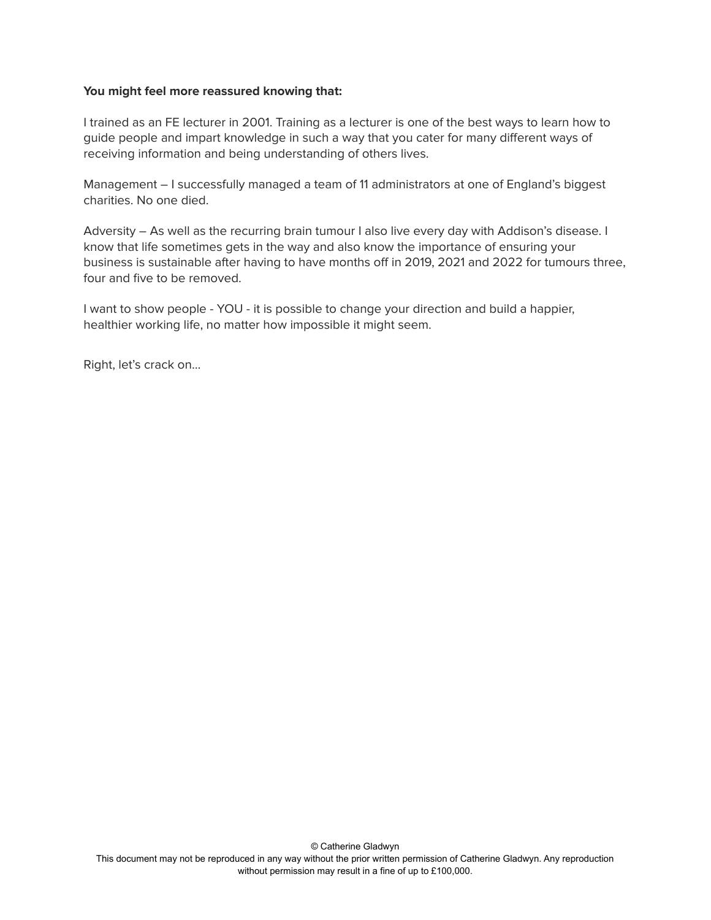#### **You might feel more reassured knowing that:**

I trained as an FE lecturer in 2001. Training as a lecturer is one of the best ways to learn how to guide people and impart knowledge in such a way that you cater for many different ways of receiving information and being understanding of others lives.

Management – I successfully managed a team of 11 administrators at one of England's biggest charities. No one died.

Adversity – As well as the recurring brain tumour I also live every day with Addison's disease. I know that life sometimes gets in the way and also know the importance of ensuring your business is sustainable after having to have months off in 2019, 2021 and 2022 for tumours three, four and five to be removed.

I want to show people - YOU - it is possible to change your direction and build a happier, healthier working life, no matter how impossible it might seem.

Right, let's crack on…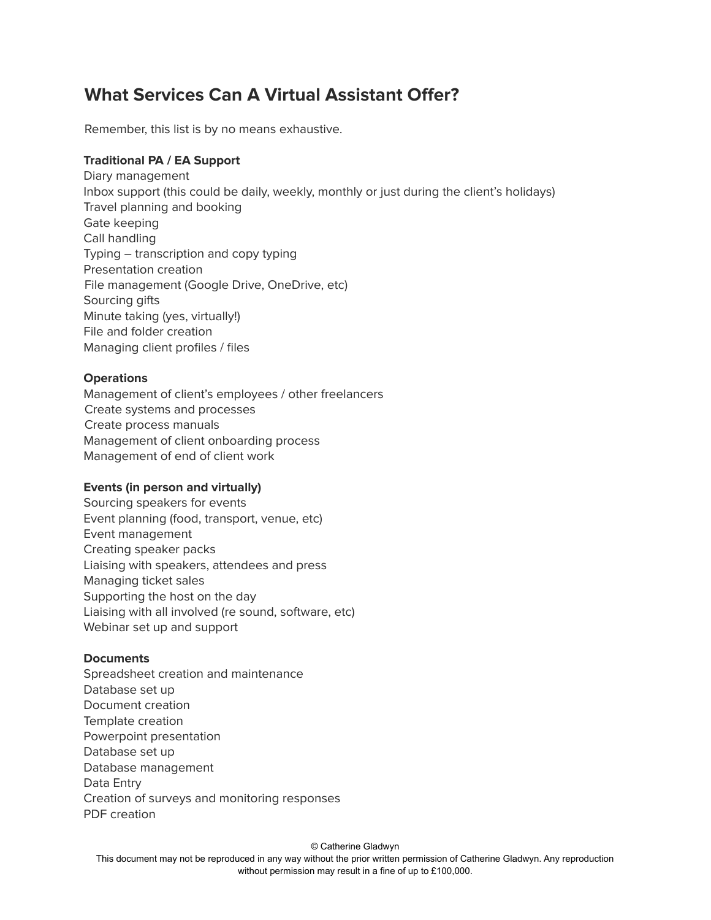# **What Services Can A Virtual Assistant Offer?**

Remember, this list is by no means exhaustive.

# **Traditional PA / EA Support**

Diary management Inbox support (this could be daily, weekly, monthly or just during the client's holidays) Travel planning and booking Gate keeping Call handling Typing – transcription and copy typing Presentation creation File management (Google Drive, OneDrive, etc) Sourcing gifts Minute taking (yes, virtually!) File and folder creation Managing client profiles / files

#### **Operations**

Management of client's employees / other freelancers Create systems and processes Create process manuals Management of client onboarding process Management of end of client work

#### **Events (in person and virtually)**

Sourcing speakers for events Event planning (food, transport, venue, etc) Event management Creating speaker packs Liaising with speakers, attendees and press Managing ticket sales Supporting the host on the day Liaising with all involved (re sound, software, etc) Webinar set up and support

#### **Documents**

Spreadsheet creation and maintenance Database set up Document creation Template creation Powerpoint presentation Database set up Database management Data Entry Creation of surveys and monitoring responses PDF creation

© Catherine Gladwyn This document may not be reproduced in any way without the prior written permission of Catherine Gladwyn. Any reproduction without permission may result in a fine of up to £100,000.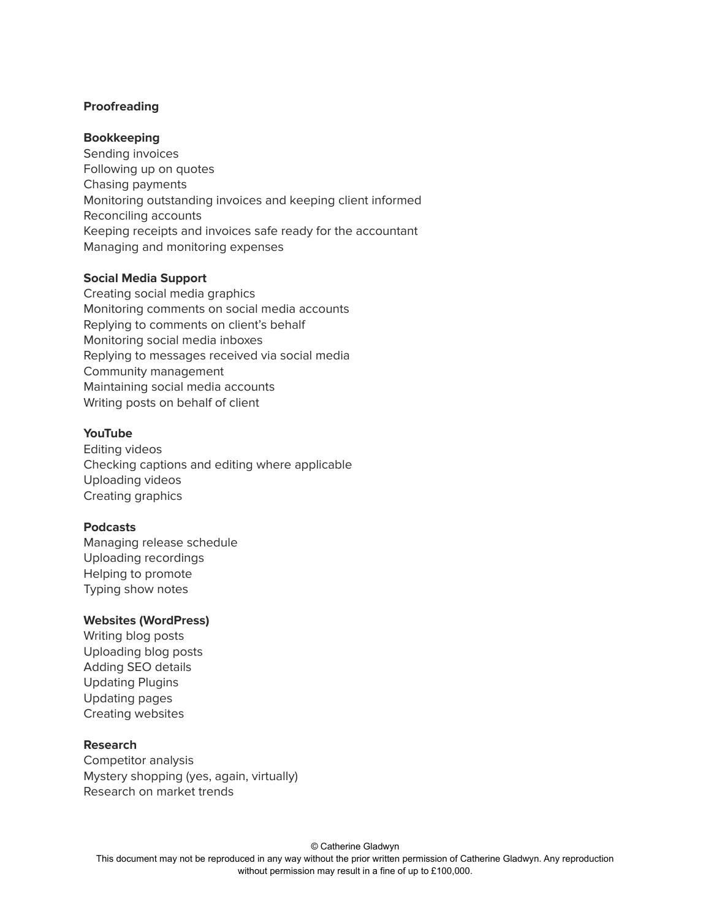# **Proofreading**

#### **Bookkeeping**

Sending invoices Following up on quotes Chasing payments Monitoring outstanding invoices and keeping client informed Reconciling accounts Keeping receipts and invoices safe ready for the accountant Managing and monitoring expenses

#### **Social Media Support**

Creating social media graphics Monitoring comments on social media accounts Replying to comments on client's behalf Monitoring social media inboxes Replying to messages received via social media Community management Maintaining social media accounts Writing posts on behalf of client

#### **YouTube**

Editing videos Checking captions and editing where applicable Uploading videos Creating graphics

#### **Podcasts**

Managing release schedule Uploading recordings Helping to promote Typing show notes

#### **Websites (WordPress)**

Writing blog posts Uploading blog posts Adding SEO details Updating Plugins Updating pages Creating websites

#### **Research**

Competitor analysis Mystery shopping (yes, again, virtually) Research on market trends